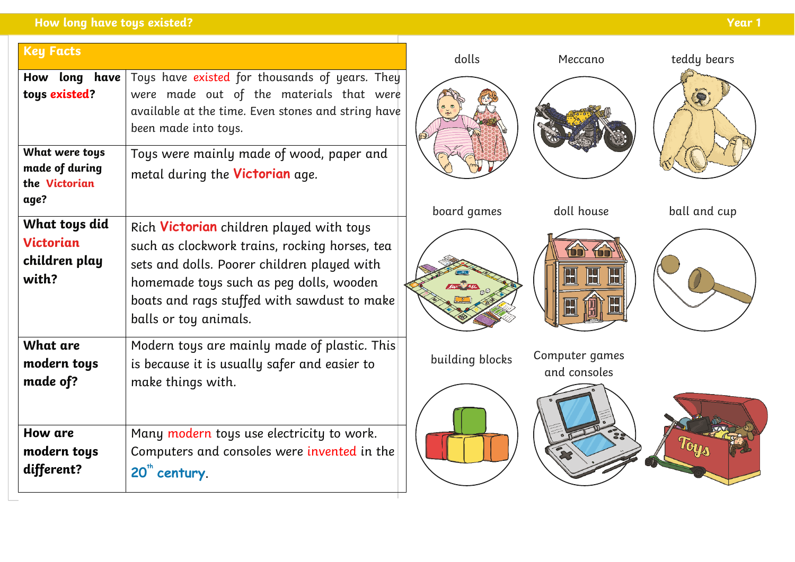| <b>Key Facts</b>                                            |                                                                                                                                                                                                                                                             | dolls           | Meccano                        | teddy bears   |
|-------------------------------------------------------------|-------------------------------------------------------------------------------------------------------------------------------------------------------------------------------------------------------------------------------------------------------------|-----------------|--------------------------------|---------------|
| How long have<br>toys existed?                              | Toys have existed for thousands of years. They<br>were made out of the materials that were<br>available at the time. Even stones and string have<br>been made into toys.                                                                                    |                 |                                | $\mathcal{R}$ |
| What were toys<br>made of during<br>the Victorian<br>age?   | Toys were mainly made of wood, paper and<br>metal during the <b>Victorian</b> age.                                                                                                                                                                          | board games     | doll house                     | ball and cup  |
| What toys did<br><b>Victorian</b><br>children play<br>with? | Rich Victorian children played with toys<br>such as clockwork trains, rocking horses, tea<br>sets and dolls. Poorer children played with<br>homemade toys such as peg dolls, wooden<br>boats and rags stuffed with sawdust to make<br>balls or toy animals. |                 | B<br>Ш<br>65                   |               |
| What are<br>modern toys<br>made of?                         | Modern toys are mainly made of plastic. This<br>is because it is usually safer and easier to<br>make things with.                                                                                                                                           | building blocks | Computer games<br>and consoles |               |
| How are<br>modern toys<br>different?                        | Many modern toys use electricity to work.<br>Computers and consoles were invented in the<br>20" century.                                                                                                                                                    |                 |                                |               |